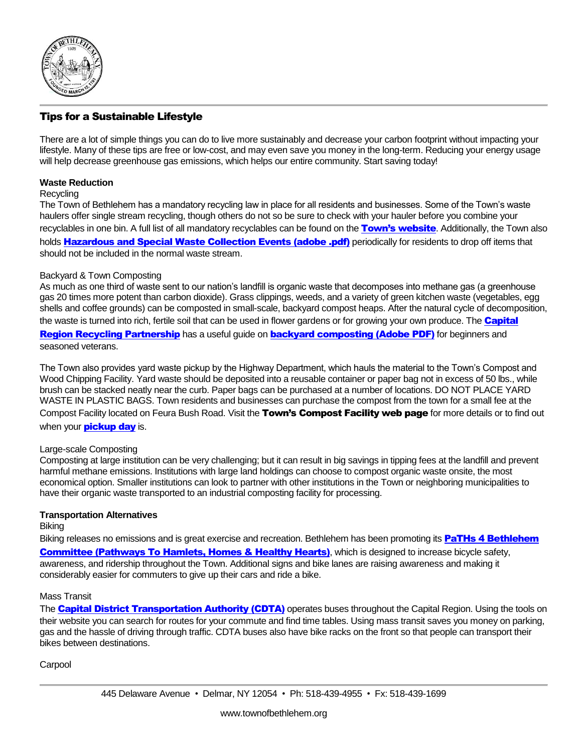

# Tips for a Sustainable Lifestyle

There are a lot of simple things you can do to live more sustainably and decrease your carbon footprint without impacting your lifestyle. Many of these tips are free or low-cost, and may even save you money in the long-term. Reducing your energy usage will help decrease greenhouse gas emissions, which helps our entire community. Start saving today!

## **Waste Reduction**

#### **Recycling**

The Town of Bethlehem has a mandatory recycling law in place for all residents and businesses. Some of the Town's waste haulers offer single stream recycling, though others do not so be sure to check with your hauler before you combine your recyclables in one bin. A full list of all mandatory recyclables can be found on the [Town's website](http://www.townofbethlehem.org/pages/recycling/recycling.asp). Additionally, the Town also holds **[Hazardous and Special Waste Collection Events \(adobe .pdf\)](http://www.townofbethlehem.org/images/pageImages/Recycling/SpecialRecyclingEvents.pdf)** periodically for residents to drop off items that should not be included in the normal waste stream.

## Backyard & Town Composting

As much as one third of waste sent to our nation's landfill is organic waste that decomposes into methane gas (a greenhouse gas 20 times more potent than carbon dioxide). Grass clippings, weeds, and a variety of green kitchen waste (vegetables, egg shells and coffee grounds) can be composted in small-scale, backyard compost heaps. After the natural cycle of decomposition, the waste is turned into rich, fertile soil that can be used in flower gardens or for growing your own produce. The **Capital** [Region Recycling Partnership](http://www.capitalregionrecycling.com/Home.aspx) has a useful quide on [backyard composting \(Adobe PDF\)](http://www.capitalregionrecycling.com/Libraries/Flyers_Publications/CompostCapRegWeb3_Final.sflb.ashx) for beginners and seasoned veterans.

The Town also provides yard waste pickup by the Highway Department, which hauls the material to the Town's Compost and Wood Chipping Facility. Yard waste should be deposited into a reusable container or paper bag not in excess of 50 lbs., while brush can be stacked neatly near the curb. Paper bags can be purchased at a number of locations. DO NOT PLACE YARD WASTE IN PLASTIC BAGS. Town residents and businesses can purchase the compost from the town for a small fee at the Compost Facility located on Feura Bush Road. Visit the Town's Compost Facility web page for more details or to find out when your **[pickup day](http://www.townofbethlehem.org/pages/Highway/highwayBrushPickup.asp)** is.

#### Large-scale Composting

Composting at large institution can be very challenging; but it can result in big savings in tipping fees at the landfill and prevent harmful methane emissions. Institutions with large land holdings can choose to compost organic waste onsite, the most economical option. Smaller institutions can look to partner with other institutions in the Town or neighboring municipalities to have their organic waste transported to an industrial composting facility for processing.

#### **Transportation Alternatives**

Biking

Biking releases no emissions and is great exercise and recreation. Bethlehem has been promoting its PaTHs 4 Bethlehem **[Committee \(Pathways To Hamlets, Homes & Healthy Hearts\)](http://www.townofbethlehem.org/324/Climate-Change-Bethlehem)**, which is designed to increase bicycle safety, awareness, and ridership throughout the Town. Additional signs and bike lanes are raising awareness and making it considerably easier for commuters to give up their cars and ride a bike.

## Mass Transit

The **[Capital District Transportation Authority \(CDTA\)](http://www.cdta.org/)** operates buses throughout the Capital Region. Using the tools on their website you can search for routes for your commute and find time tables. Using mass transit saves you money on parking, gas and the hassle of driving through traffic. CDTA buses also have bike racks on the front so that people can transport their bikes between destinations.

**Carpool**